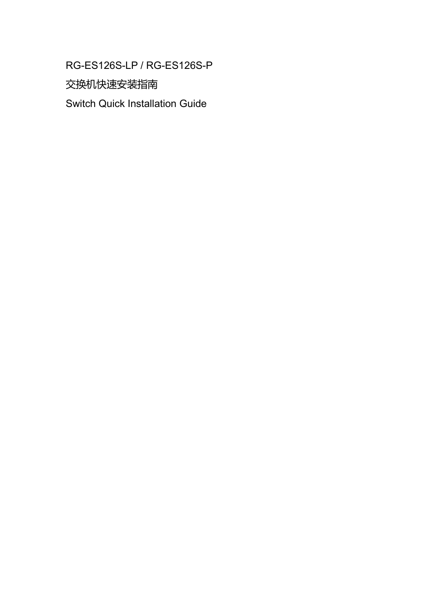### RG-ES126S-LP / RG-ES126S-P

交换机快速安装指南

Switch Quick Installation Guide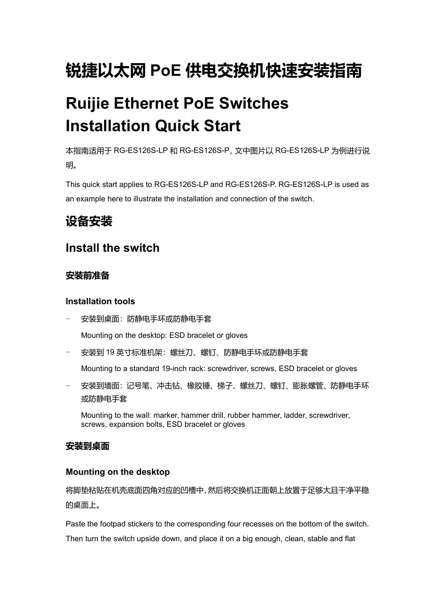# **锐捷以太网 PoE 供电交换机快速安装指南**

# **Ruijie Ethernet PoE Switches Installation Quick Start**

本指南适用于 RG-ES126S-LP 和 RG-ES126S-P,文中图片以 RG-ES126S-LP 为例进行说 明。

This quick start applies to RG-ES126S-LP and RG-ES126S-P. RG-ES126S-LP is used as an example here to illustrate the installation and connection of the switch.

### **设备安装**

### **Install the switch**

#### **安装前准备**

#### **Installation tools**

- − 安装到桌面:防静电手环或防静电手套 Mounting on the desktop: ESD bracelet or gloves
- − 安装到 19 英寸标准机架:螺丝刀、螺钉、防静电手环或防静电手套

Mounting to a standard 19-inch rack: screwdriver, screws, ESD bracelet or gloves

−安装到墙面: 记号笔、冲击钻、橡胶锤、梯子、螺丝刀、螺钉、膨胀螺管、防静电手环 或防静电手套

Mounting to the wall: marker, hammer drill, rubber hammer, ladder, screwdriver, screws, expansion bolts, ESD bracelet or gloves

#### **安装到桌面**

#### **Mounting on the desktop**

将脚垫粘贴在机壳底面四角对应的凹槽中,然后将交换机正面朝上放置于足够大且干净平稳 的桌面上。

Paste the footpad stickers to the corresponding four recesses on the bottom of the switch. Then turn the switch upside down, and place it on a big enough, clean, stable and flat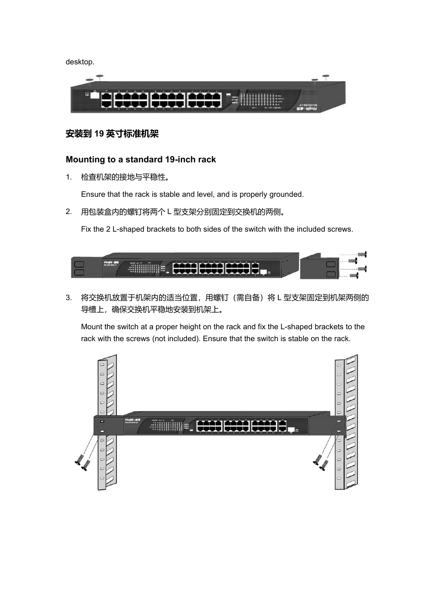desktop.



#### **安装到 19 英寸标准机架**

#### **Mounting to a standard 19-inch rack**

1. 检查机架的接地与平稳性。

Ensure that the rack is stable and level, and is properly grounded.

2. 用包装盒内的螺钉将两个 L 型支架分别固定到交换机的两侧。

Fix the 2 L-shaped brackets to both sides of the switch with the included screws.

**ETHING IN E** 

3. 将交换机放置于机架内的适当位置,用螺钉(需自备)将 L 型支架固定到机架两侧的 导槽上,确保交换机平稳地安装到机架上。

Mount the switch at a proper height on the rack and fix the L-shaped brackets to the rack with the screws (not included). Ensure that the switch is stable on the rack.

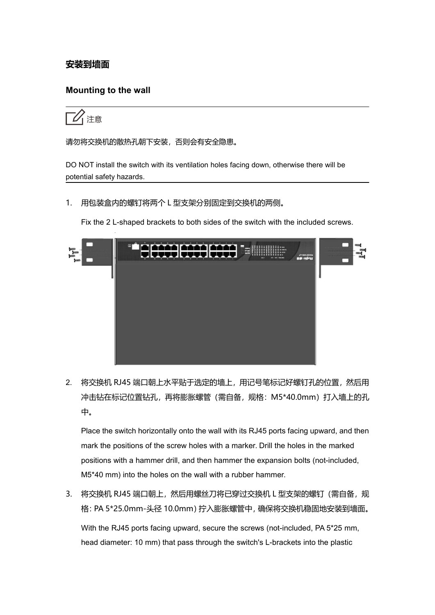#### **安装到墙面**

#### **Mounting to the wall**



请勿将交换机的散热孔朝下安装,否则会有安全隐患。

DO NOT install the switch with its ventilation holes facing down, otherwise there will be potential safety hazards.

1. 用包装盒内的螺钉将两个 L 型支架分别固定到交换机的两侧。

Fix the 2 L-shaped brackets to both sides of the switch with the included screws.



2. 将交换机 RJ45 端口朝上水平贴于选定的墙上, 用记号笔标记好螺钉孔的位置, 然后用 冲击钻在标记位置钻孔,再将膨胀螺管(需自备,规格:M5\*40.0mm)打入墙上的孔 中。

Place the switch horizontally onto the wall with its RJ45 ports facing upward, and then mark the positions of the screw holes with a marker. Drill the holes in the marked positions with a hammer drill, and then hammer the expansion bolts (not-included, M5\*40 mm) into the holes on the wall with a rubber hammer.

3. 将交换机 RJ45 端口朝上,然后用螺丝刀将已穿过交换机 L 型支架的螺钉 (需自备, 规 格:PA 5\*25.0mm-头径 10.0mm)拧入膨胀螺管中,确保将交换机稳固地安装到墙面。

With the RJ45 ports facing upward, secure the screws (not-included, PA 5\*25 mm, head diameter: 10 mm) that pass through the switch's L-brackets into the plastic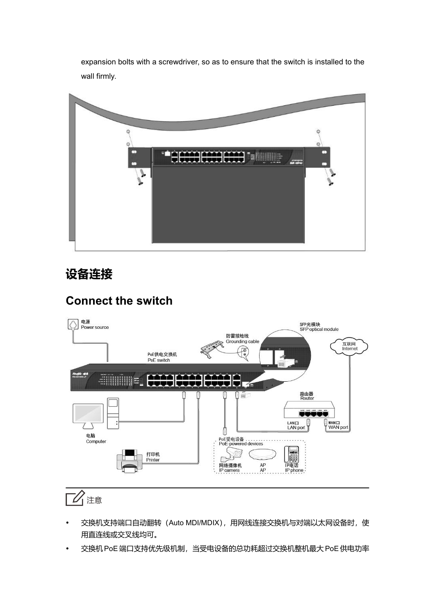expansion bolts with a screwdriver, so as to ensure that the switch is installed to the wall firmly.



### **设备连接**

### **Connect the switch**



### 1 注意

- 交换机支持端口自动翻转 (Auto MDI/MDIX), 用网线连接交换机与对端以太网设备时, 使 用直连线或交叉线均可。
- 交换机PoE 端口支持优先级机制,当受电设备的总功耗超过交换机整机最大 PoE供电功率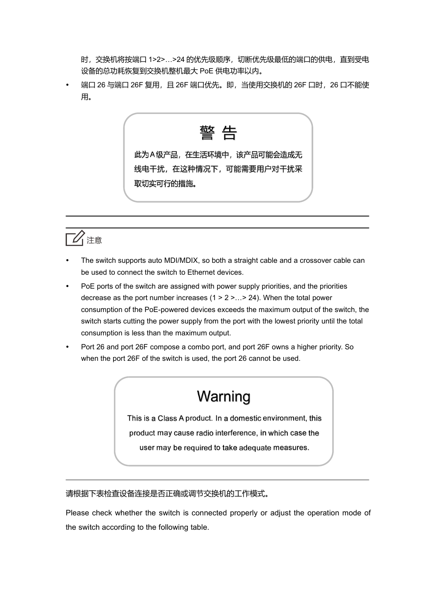时,交换机将按端口 1>2>…>24 的优先级顺序,切断优先级最低的端口的供电,直到受电 设备的总功耗恢复到交换机整机最大 PoE 供电功率以内。

端口 26 与端口 26F 复用, 且 26F 端口优先。即, 当使用交换机的 26F 口时, 26 口不能使 用。

警 告

此为A级产品,在生活环境中,该产品可能会造成无 线电干扰, 在这种情况下, 可能需要用户对干扰采 取切实可行的措施。



- The switch supports auto MDI/MDIX, so both a straight cable and a crossover cable can be used to connect the switch to Ethernet devices.
- PoE ports of the switch are assigned with power supply priorities, and the priorities decrease as the port number increases (1 > 2 >…> 24). When the total power consumption of the PoE-powered devices exceeds the maximum output of the switch, the switch starts cutting the power supply from the port with the lowest priority until the total consumption is less than the maximum output.
- Port 26 and port 26F compose a combo port, and port 26F owns a higher priority. So when the port 26F of the switch is used, the port 26 cannot be used.

# Warning

This is a Class A product. In a domestic environment, this product may cause radio interference, in which case the user may be required to take adequate measures.

#### 请根据下表检查设备连接是否正确或调节交换机的工作模式。

Please check whether the switch is connected properly or adjust the operation mode of the switch according to the following table.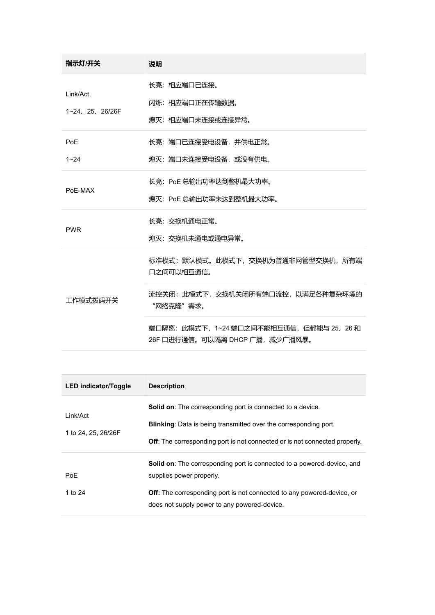| 指示灯/开关                     | 说明                                                                          |
|----------------------------|-----------------------------------------------------------------------------|
| Link/Act<br>1~24、25、26/26F | 长亮: 相应端口已连接。<br>闪烁: 相应端口正在传输数据。<br>熄灭:相应端口未连接或连接异常。                         |
| <b>PoE</b><br>$1 - 24$     | 长亮: 端口已连接受电设备, 并供电正常。<br>熄灭: 端口未连接受电设备, 或没有供电。                              |
| PoE-MAX                    | 长亮: PoE 总输出功率达到整机最大功率。<br>熄灭: PoE 总输出功率未达到整机最大功率。                           |
| <b>PWR</b>                 | 长亮: 交换机通电正常。<br>熄灭: 交换机未通电或通电异常。                                            |
|                            | 标准模式: 默认模式。此模式下, 交换机为普通非网管型交换机, 所有端<br>口之间可以相互通信。                           |
| 工作模式拨码开关                   | 流控关闭:此模式下,交换机关闭所有端口流控,以满足各种复杂环境的<br>"网络克隆"需求。                               |
|                            | 端口隔离: 此模式下, 1~24 端口之间不能相互通信, 但都能与 25、26 和<br>26F 口进行通信。可以隔离 DHCP 广播,减少广播风暴。 |

 $\sim$ 

| <b>LED indicator/Toggle</b> | <b>Description</b>                                                                |  |
|-----------------------------|-----------------------------------------------------------------------------------|--|
| Link/Act                    | <b>Solid on:</b> The corresponding port is connected to a device.                 |  |
| 1 to 24, 25, 26/26F         | Blinking: Data is being transmitted over the corresponding port.                  |  |
|                             | <b>Off:</b> The corresponding port is not connected or is not connected properly. |  |
|                             | <b>Solid on:</b> The corresponding port is connected to a powered-device, and     |  |
| <b>PoE</b>                  | supplies power properly.                                                          |  |
| 1 to 24                     | Off: The corresponding port is not connected to any powered-device, or            |  |
|                             | does not supply power to any powered-device.                                      |  |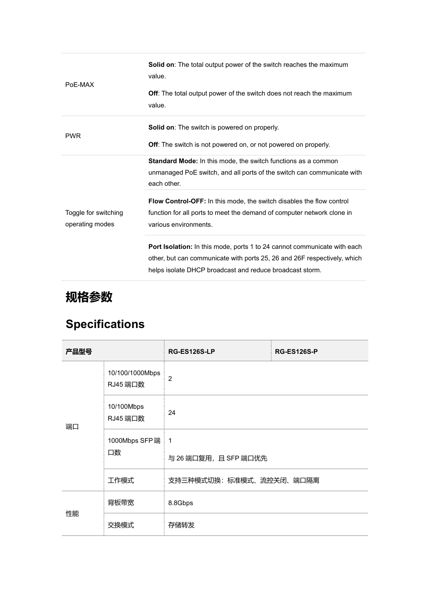| PoE-MAX                                 | <b>Solid on:</b> The total output power of the switch reaches the maximum<br>value.                                                                                                                              |
|-----------------------------------------|------------------------------------------------------------------------------------------------------------------------------------------------------------------------------------------------------------------|
|                                         | <b>Off:</b> The total output power of the switch does not reach the maximum<br>value.                                                                                                                            |
| <b>PWR</b>                              | <b>Solid on:</b> The switch is powered on properly.<br>Off: The switch is not powered on, or not powered on properly.                                                                                            |
|                                         | Standard Mode: In this mode, the switch functions as a common<br>unmanaged PoE switch, and all ports of the switch can communicate with<br>each other.                                                           |
| Toggle for switching<br>operating modes | <b>Flow Control-OFF:</b> In this mode, the switch disables the flow control<br>function for all ports to meet the demand of computer network clone in<br>various environments.                                   |
|                                         | Port Isolation: In this mode, ports 1 to 24 cannot communicate with each<br>other, but can communicate with ports 25, 26 and 26F respectively, which<br>helps isolate DHCP broadcast and reduce broadcast storm. |

## **规格参数**

## **Specifications**

| 产品型号 |                             | <b>RG-ES126S-LP</b>                   | <b>RG-ES126S-P</b> |  |
|------|-----------------------------|---------------------------------------|--------------------|--|
|      | 10/100/1000Mbps<br>RJ45 端口数 | $\overline{c}$                        |                    |  |
| 端口   | 10/100Mbps<br>RJ45 端口数      | 24                                    |                    |  |
|      | 1000Mbps SFP端<br>口数         | $\mathbf{1}$<br>与 26 端口复用, 且 SFP 端口优先 |                    |  |
|      | 工作模式                        | 支持三种模式切换: 标准模式、流控关闭、端口隔离              |                    |  |
| 性能   | 背板带宽                        | 8.8Gbps                               |                    |  |
|      | 交换模式                        | 存储转发                                  |                    |  |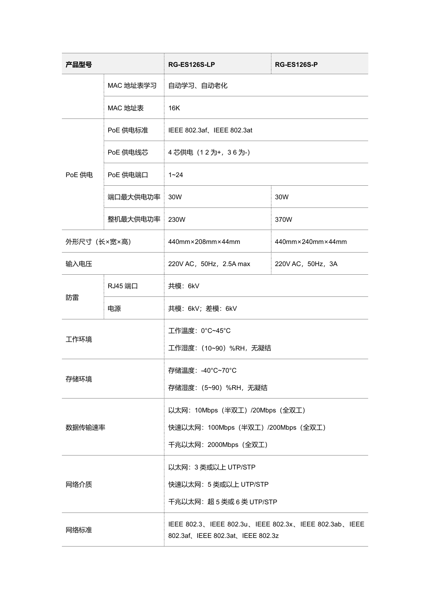| 产品型号                 |          | <b>RG-ES126S-LP</b>                                                                      | <b>RG-ES126S-P</b>                    |  |
|----------------------|----------|------------------------------------------------------------------------------------------|---------------------------------------|--|
| MAC 地址表学习<br>MAC 地址表 |          | 自动学习、自动老化                                                                                |                                       |  |
|                      |          | 16K                                                                                      |                                       |  |
| PoE 供电标准             |          | IEEE 802.3af、IEEE 802.3at                                                                |                                       |  |
| PoE 供电               | PoE 供电线芯 | 4 芯供电 (12为+, 36为-)                                                                       |                                       |  |
|                      | PoE 供电端口 | $1 - 24$                                                                                 |                                       |  |
|                      | 端口最大供电功率 | 30W                                                                                      | 30W                                   |  |
|                      | 整机最大供电功率 | 230W                                                                                     | 370W                                  |  |
| 外形尺寸 (长×宽×高)         |          | 440mm×208mm×44mm                                                                         | $440$ mm $\times$ 240mm $\times$ 44mm |  |
| 输入电压                 |          | 220V AC, 50Hz, 2.5A max                                                                  | 220V AC, 50Hz, 3A                     |  |
|                      | RJ45 端口  | 共模: 6kV                                                                                  |                                       |  |
| 防雷                   | 电源       | 共模: 6kV; 差模: 6kV                                                                         |                                       |  |
| 工作环境                 |          | 工作温度: 0°C~45°C                                                                           |                                       |  |
|                      |          | 工作湿度: (10~90) %RH, 无凝结                                                                   |                                       |  |
| 存储环境                 |          | 存储温度: -40°C~70°C                                                                         |                                       |  |
|                      |          | 存储湿度: (5~90) %RH, 无凝结                                                                    |                                       |  |
|                      |          | 以太网: 10Mbps (半双工) /20Mbps (全双工)                                                          |                                       |  |
| 数据传输速率               |          | 快速以太网: 100Mbps (半双工) /200Mbps (全双工)<br>千兆以太网: 2000Mbps (全双工)                             |                                       |  |
|                      |          |                                                                                          |                                       |  |
| 网络介质                 |          | 以太网: 3 类或以上 UTP/STP<br>快速以太网: 5 类或以上 UTP/STP                                             |                                       |  |
|                      |          | 干兆以太网: 超5类或6类UTP/STP                                                                     |                                       |  |
| 网络标准                 |          | IEEE 802.3、IEEE 802.3u、IEEE 802.3x、IEEE 802.3ab、IEEE<br>802.3af、IEEE 802.3at、IEEE 802.3z |                                       |  |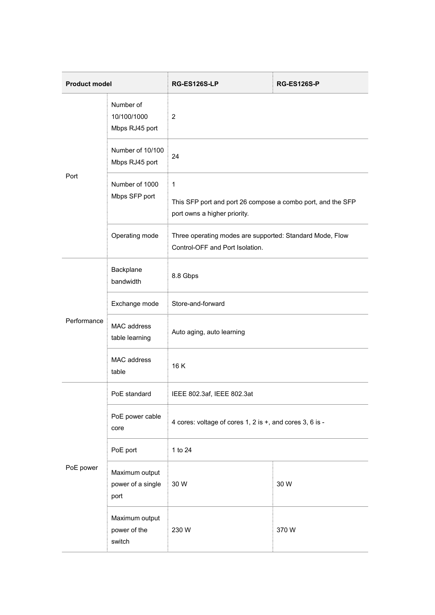| <b>Product model</b> |                                             | <b>RG-ES126S-LP</b>                                                                              | <b>RG-ES126S-P</b> |  |
|----------------------|---------------------------------------------|--------------------------------------------------------------------------------------------------|--------------------|--|
| Port                 | Number of<br>10/100/1000<br>Mbps RJ45 port  | $\overline{c}$                                                                                   |                    |  |
|                      | Number of 10/100<br>Mbps RJ45 port          | 24                                                                                               |                    |  |
|                      | Number of 1000<br>Mbps SFP port             | 1<br>This SFP port and port 26 compose a combo port, and the SFP<br>port owns a higher priority. |                    |  |
|                      | Operating mode                              | Three operating modes are supported: Standard Mode, Flow<br>Control-OFF and Port Isolation.      |                    |  |
|                      | Backplane<br>bandwidth                      | 8.8 Gbps                                                                                         |                    |  |
|                      | Exchange mode                               | Store-and-forward                                                                                |                    |  |
| Performance          | MAC address<br>table learning               | Auto aging, auto learning                                                                        |                    |  |
|                      | MAC address<br>table                        | 16K                                                                                              |                    |  |
|                      | PoE standard                                | IEEE 802.3af, IEEE 802.3at                                                                       |                    |  |
|                      | PoE power cable<br>core                     | 4 cores: voltage of cores 1, 2 is +, and cores 3, 6 is -                                         |                    |  |
| PoE power            | PoE port                                    | 1 to 24                                                                                          |                    |  |
|                      | Maximum output<br>power of a single<br>port | 30 W                                                                                             | 30W                |  |
|                      | Maximum output<br>power of the<br>switch    | 230 W                                                                                            | 370W               |  |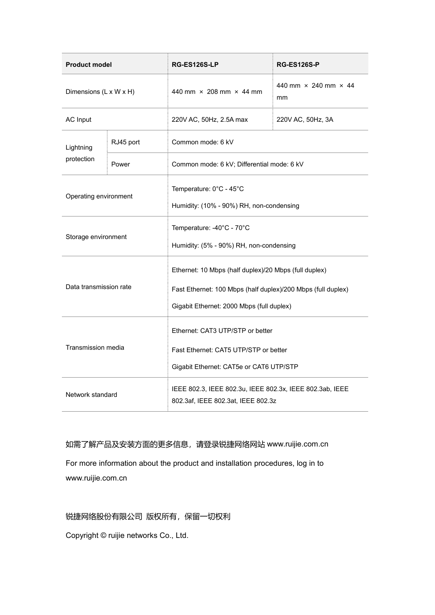| <b>Product model</b>   |       | RG-ES126S-LP                                                                                                                                                       | <b>RG-ES126S-P</b>                       |
|------------------------|-------|--------------------------------------------------------------------------------------------------------------------------------------------------------------------|------------------------------------------|
| Dimensions (L x W x H) |       | 440 mm × 208 mm × 44 mm                                                                                                                                            | 440 mm $\times$ 240 mm $\times$ 44<br>mm |
| <b>AC Input</b>        |       | 220V AC, 50Hz, 2.5A max                                                                                                                                            | 220V AC, 50Hz, 3A                        |
| RJ45 port<br>Lightning |       | Common mode: 6 kV                                                                                                                                                  |                                          |
| protection             | Power | Common mode: 6 kV; Differential mode: 6 kV                                                                                                                         |                                          |
| Operating environment  |       | Temperature: 0°C - 45°C<br>Humidity: (10% - 90%) RH, non-condensing                                                                                                |                                          |
| Storage environment    |       | Temperature: -40°C - 70°C<br>Humidity: (5% - 90%) RH, non-condensing                                                                                               |                                          |
| Data transmission rate |       | Ethernet: 10 Mbps (half duplex)/20 Mbps (full duplex)<br>Fast Ethernet: 100 Mbps (half duplex)/200 Mbps (full duplex)<br>Gigabit Ethernet: 2000 Mbps (full duplex) |                                          |
| Transmission media     |       | Ethernet: CAT3 UTP/STP or better<br>Fast Ethernet: CAT5 UTP/STP or better<br>Gigabit Ethernet: CAT5e or CAT6 UTP/STP                                               |                                          |
| Network standard       |       | IEEE 802.3, IEEE 802.3u, IEEE 802.3x, IEEE 802.3ab, IEEE<br>802.3af, IEEE 802.3at, IEEE 802.3z                                                                     |                                          |

如需了解产品及安装方面的更多信息,请登录锐捷网络网站 www.ruijie.com.cn

For more information about the product and installation procedures, log in to www.ruijie.com.cn

#### 锐捷网络股份有限公司 版权所有,保留一切权利

Copyright © ruijie networks Co., Ltd.